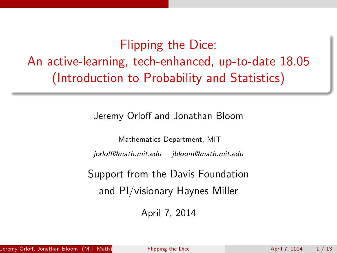Flipping the Dice: An active-learning, tech-enhanced, up-to-date 18.05 (Introduction to Probability and Statistics)

Jeremy Orloff and Jonathan Bloom

Mathematics Department, MIT jorloff@math.mit.edu jbloom@math.mit.edu

Support from the Davis Foundation and PI/visionary Haynes Miller

<span id="page-0-0"></span>April 7, 2014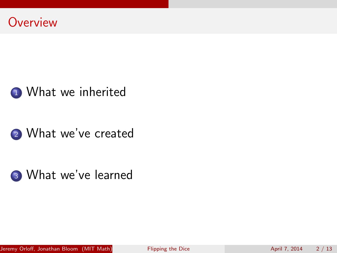

# 1 [What we inherited](#page-2-0)

# <sup>2</sup> [What we've created](#page-4-0)

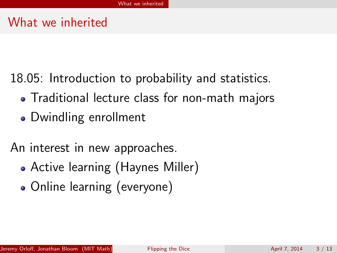## What we inherited

- 18.05: Introduction to probability and statistics.
	- Traditional lecture class for non-math majors
	- Dwindling enrollment
- <span id="page-2-0"></span>An interest in new approaches.
	- Active learning (Haynes Miller)
	- Online learning (everyone)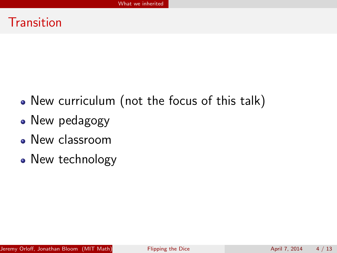### **Transition**

- New curriculum (not the focus of this talk)
- New pedagogy
- New classroom
- New technology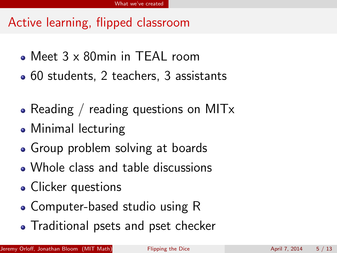# Active learning, flipped classroom

- Meet 3 x 80min in TEAL room
- 60 students, 2 teachers, 3 assistants
- Reading / reading questions on MIT $x$
- Minimal lecturing
- Group problem solving at boards
- Whole class and table discussions
- Clicker questions
- Computer-based studio using R
- <span id="page-4-0"></span>• Traditional psets and pset checker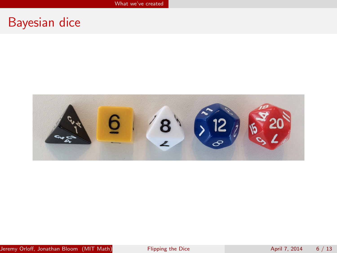## Bayesian dice

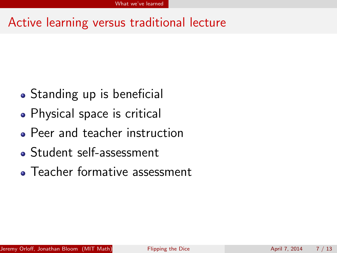# Active learning versus traditional lecture

- Standing up is beneficial
- Physical space is critical
- Peer and teacher instruction
- Student self-assessment
- <span id="page-6-0"></span>Teacher formative assessment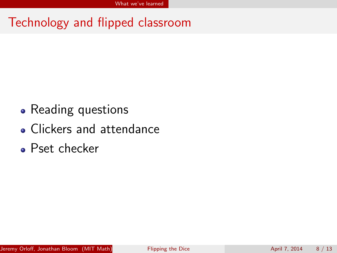Technology and flipped classroom

- Reading questions
- Clickers and attendance
- Pset checker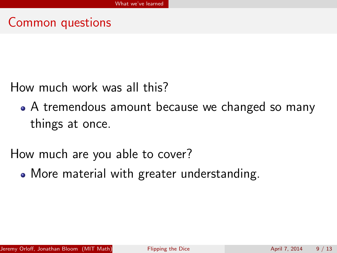

How much work was all this?

A tremendous amount because we changed so many things at once.

How much are you able to cover?

More material with greater understanding.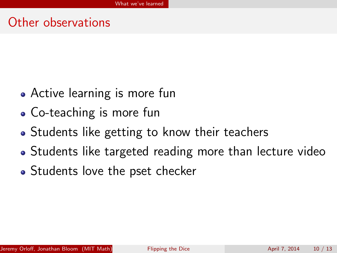#### Other observations

- Active learning is more fun
- Co-teaching is more fun
- Students like getting to know their teachers
- Students like targeted reading more than lecture video
- Students love the pset checker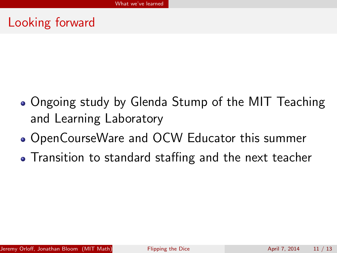# Looking forward

- Ongoing study by Glenda Stump of the MIT Teaching and Learning Laboratory
- OpenCourseWare and OCW Educator this summer
- Transition to standard staffing and the next teacher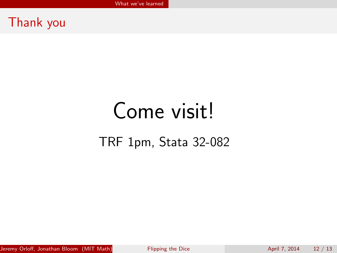#### Thank you

# Come visit! TRF 1pm, Stata 32-082